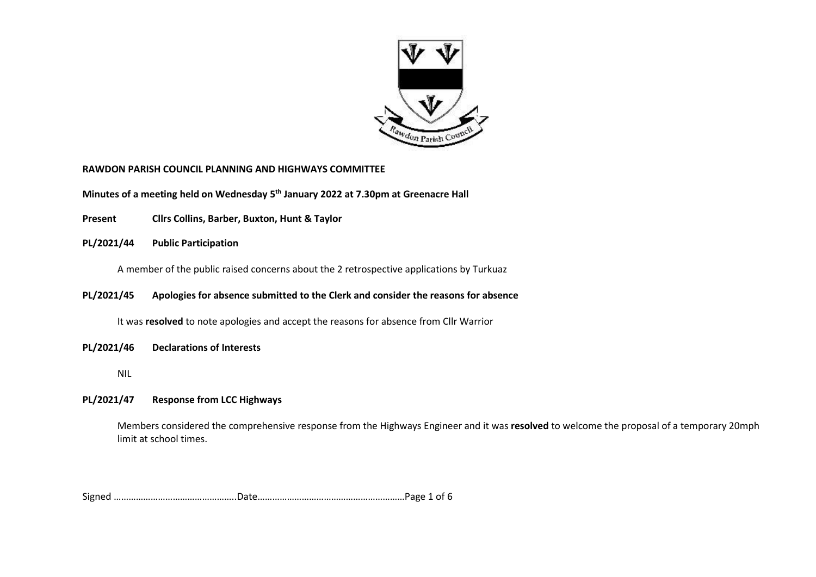

#### **RAWDON PARISH COUNCIL PLANNING AND HIGHWAYS COMMITTEE**

**Minutes of a meeting held on Wednesday 5 th January 2022 at 7.30pm at Greenacre Hall**

**Present Cllrs Collins, Barber, Buxton, Hunt & Taylor**

**PL/2021/44 Public Participation** 

A member of the public raised concerns about the 2 retrospective applications by Turkuaz

**PL/2021/45 Apologies for absence submitted to the Clerk and consider the reasons for absence** 

It was **resolved** to note apologies and accept the reasons for absence from Cllr Warrior

- **PL/2021/46 Declarations of Interests** 
	- NIL

## **PL/2021/47 Response from LCC Highways**

Members considered the comprehensive response from the Highways Engineer and it was **resolved** to welcome the proposal of a temporary 20mph limit at school times.

Signed …………………………………………..Date……………………………………………………Page 1 of 6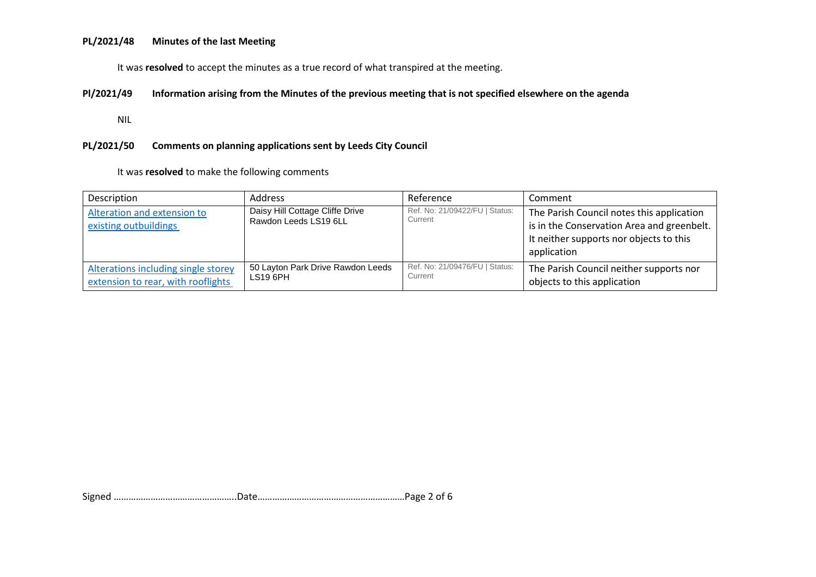#### **PL/2021/48 Minutes of the last Meeting**

It was **resolved** to accept the minutes as a true record of what transpired at the meeting.

### **Pl/2021/49 Information arising from the Minutes of the previous meeting that is not specified elsewhere on the agenda**

NIL

# **PL/2021/50 Comments on planning applications sent by Leeds City Council**

It was **resolved** to make the following comments

| Description                                                               | <b>Address</b>                                           | Reference                                 | Comment                                                                                                                                           |
|---------------------------------------------------------------------------|----------------------------------------------------------|-------------------------------------------|---------------------------------------------------------------------------------------------------------------------------------------------------|
| Alteration and extension to<br>existing outbuildings                      | Daisy Hill Cottage Cliffe Drive<br>Rawdon Leeds LS19 6LL | Ref. No: 21/09422/FU   Status:<br>Current | The Parish Council notes this application<br>is in the Conservation Area and greenbelt.<br>It neither supports nor objects to this<br>application |
| Alterations including single storey<br>extension to rear, with rooflights | 50 Layton Park Drive Rawdon Leeds<br>LS19 6PH            | Ref. No: 21/09476/FU   Status:<br>Current | The Parish Council neither supports nor<br>objects to this application                                                                            |

Signed …………………………………………..Date……………………………………………………Page 2 of 6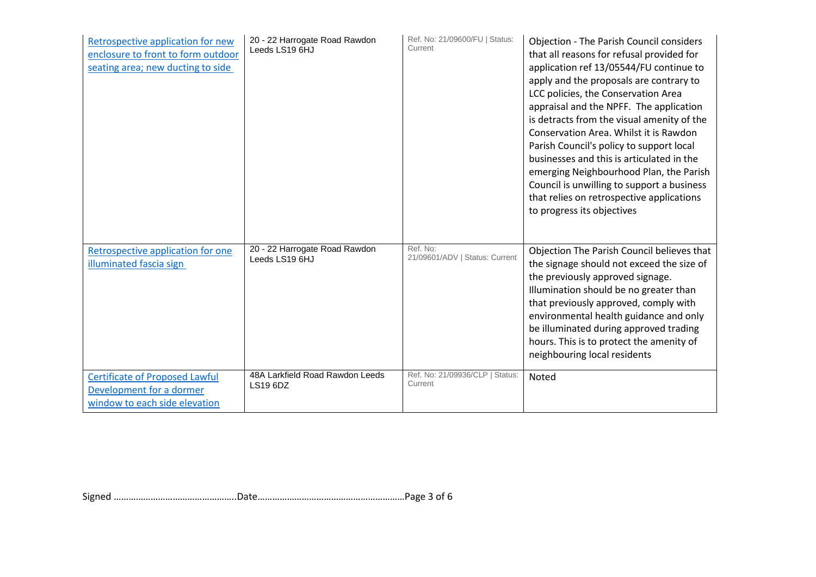| Retrospective application for new<br>enclosure to front to form outdoor<br>seating area; new ducting to side | 20 - 22 Harrogate Road Rawdon<br>Leeds LS19 6HJ    | Ref. No: 21/09600/FU   Status:<br>Current  | <b>Objection - The Parish Council considers</b><br>that all reasons for refusal provided for<br>application ref 13/05544/FU continue to<br>apply and the proposals are contrary to<br>LCC policies, the Conservation Area<br>appraisal and the NPFF. The application<br>is detracts from the visual amenity of the<br>Conservation Area. Whilst it is Rawdon<br>Parish Council's policy to support local<br>businesses and this is articulated in the<br>emerging Neighbourhood Plan, the Parish<br>Council is unwilling to support a business<br>that relies on retrospective applications<br>to progress its objectives |
|--------------------------------------------------------------------------------------------------------------|----------------------------------------------------|--------------------------------------------|---------------------------------------------------------------------------------------------------------------------------------------------------------------------------------------------------------------------------------------------------------------------------------------------------------------------------------------------------------------------------------------------------------------------------------------------------------------------------------------------------------------------------------------------------------------------------------------------------------------------------|
| Retrospective application for one<br>illuminated fascia sign                                                 | 20 - 22 Harrogate Road Rawdon<br>Leeds LS19 6HJ    | Ref. No:<br>21/09601/ADV   Status: Current | Objection The Parish Council believes that<br>the signage should not exceed the size of<br>the previously approved signage.<br>Illumination should be no greater than<br>that previously approved, comply with<br>environmental health guidance and only<br>be illuminated during approved trading<br>hours. This is to protect the amenity of<br>neighbouring local residents                                                                                                                                                                                                                                            |
| <b>Certificate of Proposed Lawful</b><br>Development for a dormer<br>window to each side elevation           | 48A Larkfield Road Rawdon Leeds<br><b>LS19 6DZ</b> | Ref. No: 21/09936/CLP   Status:<br>Current | Noted                                                                                                                                                                                                                                                                                                                                                                                                                                                                                                                                                                                                                     |

Signed …………………………………………..Date……………………………………………………Page 3 of 6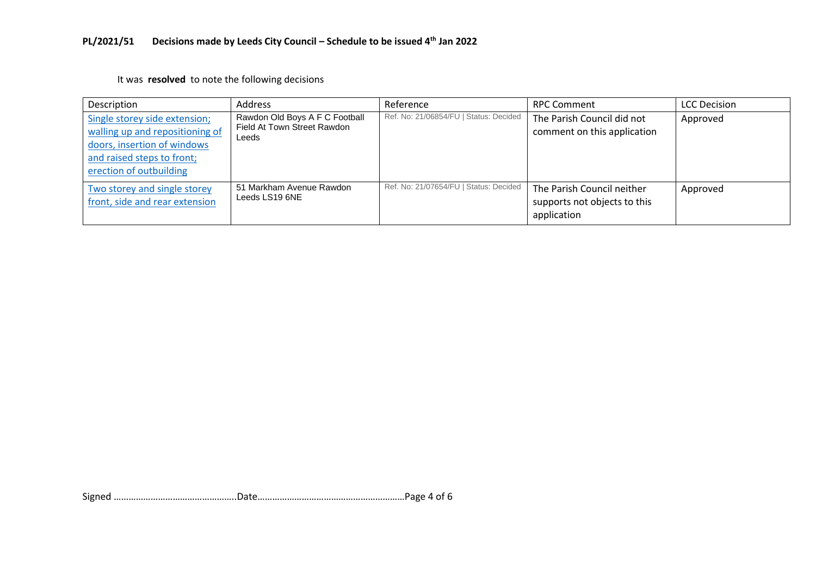It was **resolved** to note the following decisions

| Description                                                                                                                                              | Address                                                                | Reference                              | <b>RPC Comment</b>                                                        | <b>LCC Decision</b> |
|----------------------------------------------------------------------------------------------------------------------------------------------------------|------------------------------------------------------------------------|----------------------------------------|---------------------------------------------------------------------------|---------------------|
| Single storey side extension;<br>walling up and repositioning of<br>doors, insertion of windows<br>and raised steps to front;<br>erection of outbuilding | Rawdon Old Boys A F C Football<br>Field At Town Street Rawdon<br>Leeds | Ref. No: 21/06854/FU   Status: Decided | The Parish Council did not<br>comment on this application                 | Approved            |
| Two storey and single storey<br>front, side and rear extension                                                                                           | 51 Markham Avenue Rawdon<br>Leeds LS19 6NE                             | Ref. No: 21/07654/FU   Status: Decided | The Parish Council neither<br>supports not objects to this<br>application | Approved            |

Signed …………………………………………..Date……………………………………………………Page 4 of 6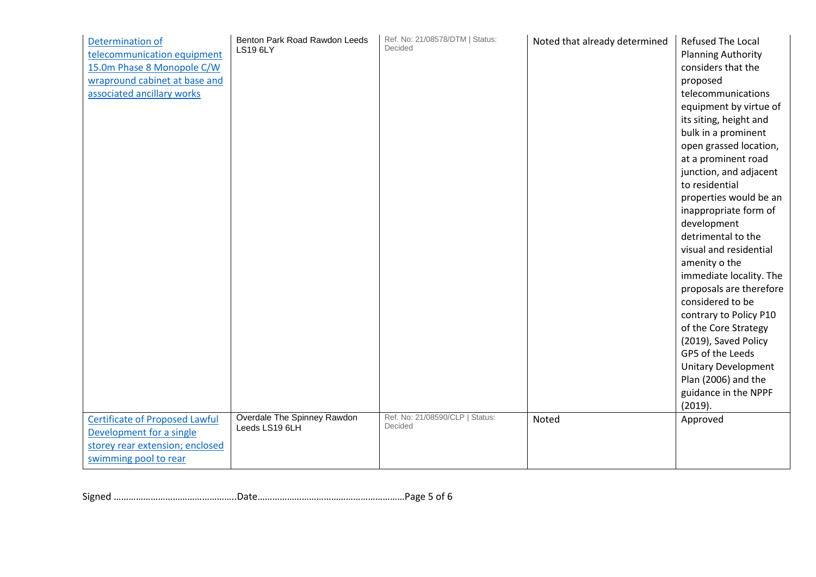| Determination of<br>telecommunication equipment<br>15.0m Phase 8 Monopole C/W<br>wrapround cabinet at base and<br>associated ancillary works | Benton Park Road Rawdon Leeds<br><b>LS19 6LY</b> | Ref. No: 21/08578/DTM   Status:<br>Decided | Noted that already determined | <b>Refused The Local</b><br><b>Planning Authority</b><br>considers that the<br>proposed<br>telecommunications<br>equipment by virtue of<br>its siting, height and<br>bulk in a prominent<br>open grassed location,<br>at a prominent road<br>junction, and adjacent<br>to residential<br>properties would be an<br>inappropriate form of<br>development<br>detrimental to the<br>visual and residential<br>amenity o the<br>immediate locality. The<br>proposals are therefore<br>considered to be<br>contrary to Policy P10<br>of the Core Strategy<br>(2019), Saved Policy<br>GP5 of the Leeds<br><b>Unitary Development</b><br>Plan (2006) and the<br>guidance in the NPPF |
|----------------------------------------------------------------------------------------------------------------------------------------------|--------------------------------------------------|--------------------------------------------|-------------------------------|-------------------------------------------------------------------------------------------------------------------------------------------------------------------------------------------------------------------------------------------------------------------------------------------------------------------------------------------------------------------------------------------------------------------------------------------------------------------------------------------------------------------------------------------------------------------------------------------------------------------------------------------------------------------------------|
| <b>Certificate of Proposed Lawful</b>                                                                                                        | Overdale The Spinney Rawdon<br>Leeds LS19 6LH    | Ref. No: 21/08590/CLP   Status:<br>Decided | Noted                         | (2019).<br>Approved                                                                                                                                                                                                                                                                                                                                                                                                                                                                                                                                                                                                                                                           |
| Development for a single<br>storey rear extension; enclosed<br>swimming pool to rear                                                         |                                                  |                                            |                               |                                                                                                                                                                                                                                                                                                                                                                                                                                                                                                                                                                                                                                                                               |

Signed …………………………………………..Date……………………………………………………Page 5 of 6